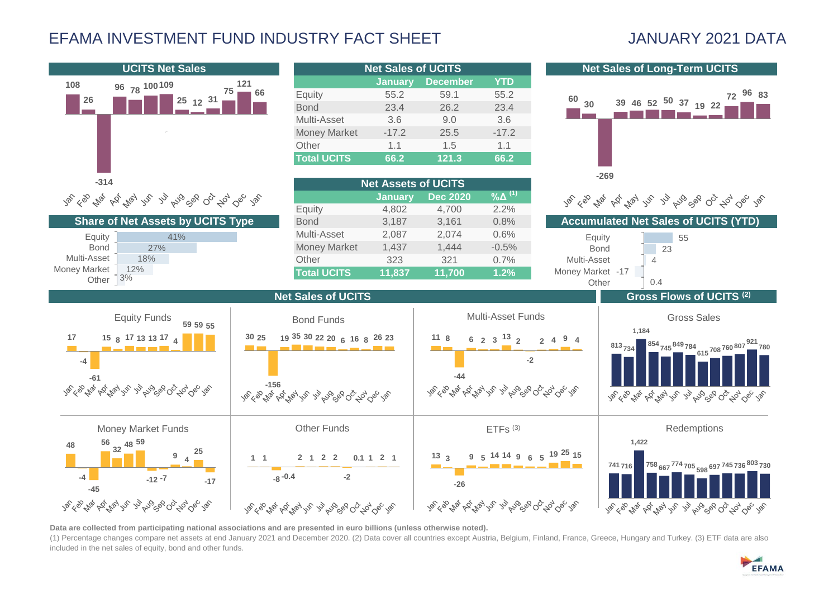## EFAMA INVESTMENT FUND INDUSTRY FACT SHEET JANUARY 2021 DATA



**Data are collected from participating national associations and are presented in euro billions (unless otherwise noted).**

(1) Percentage changes compare net assets at end January 2021 and December 2020. (2) Data cover all countries except Austria, Belgium, Finland, France, Greece, Hungary and Turkey. (3) ETF data are also included in the net sales of equity, bond and other funds.